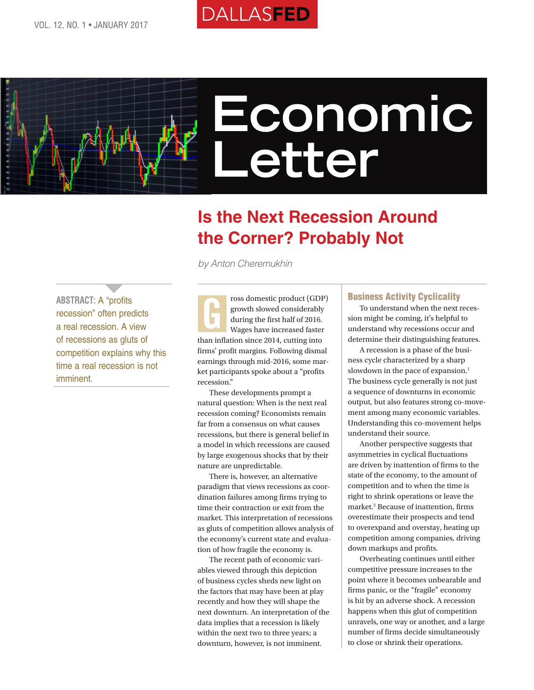# **DALLASFED**



# **Economic Letter**

# **Is the Next Recession Around the Corner? Probably Not**

*by Anton Cheremukhin*

**ABSTRACT:** A "profits recession" often predicts a real recession. A view of recessions as gluts of competition explains why this time a real recession is not imminent.

 $\overline{ }$ 

ross domestic product (GDP) growth slowed considerably during the first half of 2016. Wages have increased faster than inflation since 2014, cutting into firms' profit margins. Following dismal earnings through mid-2016, some market participants spoke about a "profits recession." G

These developments prompt a natural question: When is the next real recession coming? Economists remain far from a consensus on what causes recessions, but there is general belief in a model in which recessions are caused by large exogenous shocks that by their nature are unpredictable.

There is, however, an alternative paradigm that views recessions as coordination failures among firms trying to time their contraction or exit from the market. This interpretation of recessions as gluts of competition allows analysis of the economy's current state and evaluation of how fragile the economy is.

The recent path of economic variables viewed through this depiction of business cycles sheds new light on the factors that may have been at play recently and how they will shape the next downturn. An interpretation of the data implies that a recession is likely within the next two to three years; a downturn, however, is not imminent.

#### Business Activity Cyclicality

To understand when the next recession might be coming, it's helpful to understand why recessions occur and determine their distinguishing features.

A recession is a phase of the business cycle characterized by a sharp slowdown in the pace of expansion.<sup>1</sup> The business cycle generally is not just a sequence of downturns in economic output, but also features strong co-movement among many economic variables. Understanding this co-movement helps understand their source.

Another perspective suggests that asymmetries in cyclical fluctuations are driven by inattention of firms to the state of the economy, to the amount of competition and to when the time is right to shrink operations or leave the market.<sup>2</sup> Because of inattention, firms overestimate their prospects and tend to overexpand and overstay, heating up competition among companies, driving down markups and profits.

Overheating continues until either competitive pressure increases to the point where it becomes unbearable and firms panic, or the "fragile" economy is hit by an adverse shock. A recession happens when this glut of competition unravels, one way or another, and a large number of firms decide simultaneously to close or shrink their operations.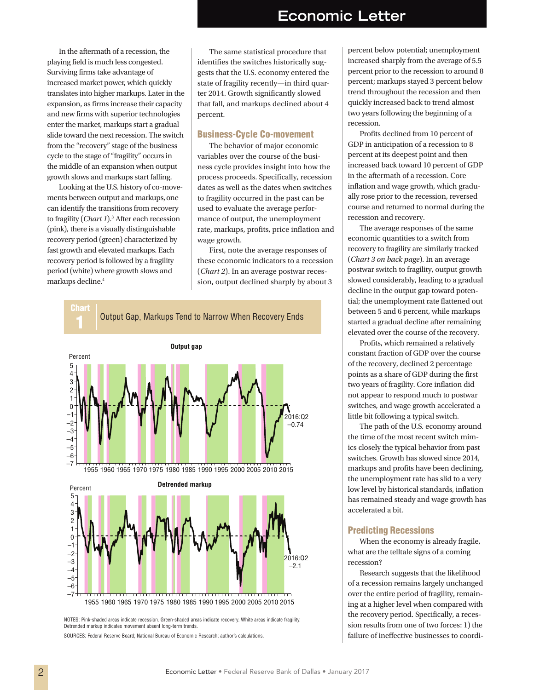## **Economic Letter**

In the aftermath of a recession, the playing field is much less congested. Surviving firms take advantage of increased market power, which quickly translates into higher markups. Later in the expansion, as firms increase their capacity and new firms with superior technologies enter the market, markups start a gradual slide toward the next recession. The switch from the "recovery" stage of the business cycle to the stage of "fragility" occurs in the middle of an expansion when output growth slows and markups start falling.

Looking at the U.S. history of co-movements between output and markups, one can identify the transitions from recovery to fragility (*Chart 1*).3 After each recession (pink), there is a visually distinguishable recovery period (green) characterized by fast growth and elevated markups. Each recovery period is followed by a fragility period (white) where growth slows and markups decline.4

The same statistical procedure that identifies the switches historically suggests that the U.S. economy entered the state of fragility recently—in third quarter 2014. Growth significantly slowed that fall, and markups declined about 4 percent.

#### Business-Cycle Co-movement

The behavior of major economic variables over the course of the business cycle provides insight into how the process proceeds. Specifically, recession dates as well as the dates when switches to fragility occurred in the past can be used to evaluate the average performance of output, the unemployment rate, markups, profits, price inflation and wage growth.

First, note the average responses of these economic indicators to a recession (*Chart 2*). In an average postwar recession, output declined sharply by about 3



NOTES: Pink-shaded areas indicate recession. Green-shaded areas indicate recovery. White areas indicate fragility. Detrended markup indicates movement absent long-term trends.

SOURCES: Federal Reserve Board; National Bureau of Economic Research; author's calculations.

percent below potential; unemployment increased sharply from the average of 5.5 percent prior to the recession to around 8 percent; markups stayed 3 percent below trend throughout the recession and then quickly increased back to trend almost two years following the beginning of a recession.

Profits declined from 10 percent of GDP in anticipation of a recession to 8 percent at its deepest point and then increased back toward 10 percent of GDP in the aftermath of a recession. Core inflation and wage growth, which gradually rose prior to the recession, reversed course and returned to normal during the recession and recovery.

The average responses of the same economic quantities to a switch from recovery to fragility are similarly tracked (*Chart 3 on back page*). In an average postwar switch to fragility, output growth slowed considerably, leading to a gradual decline in the output gap toward potential; the unemployment rate flattened out between 5 and 6 percent, while markups started a gradual decline after remaining elevated over the course of the recovery.

Profits, which remained a relatively constant fraction of GDP over the course of the recovery, declined 2 percentage points as a share of GDP during the first two years of fragility. Core inflation did not appear to respond much to postwar switches, and wage growth accelerated a little bit following a typical switch.

The path of the U.S. economy around the time of the most recent switch mimics closely the typical behavior from past switches. Growth has slowed since 2014, markups and profits have been declining, the unemployment rate has slid to a very low level by historical standards, inflation has remained steady and wage growth has accelerated a bit.

#### Predicting Recessions

When the economy is already fragile, what are the telltale signs of a coming recession?

Research suggests that the likelihood of a recession remains largely unchanged over the entire period of fragility, remaining at a higher level when compared with the recovery period. Specifically, a recession results from one of two forces: 1) the failure of ineffective businesses to coordi-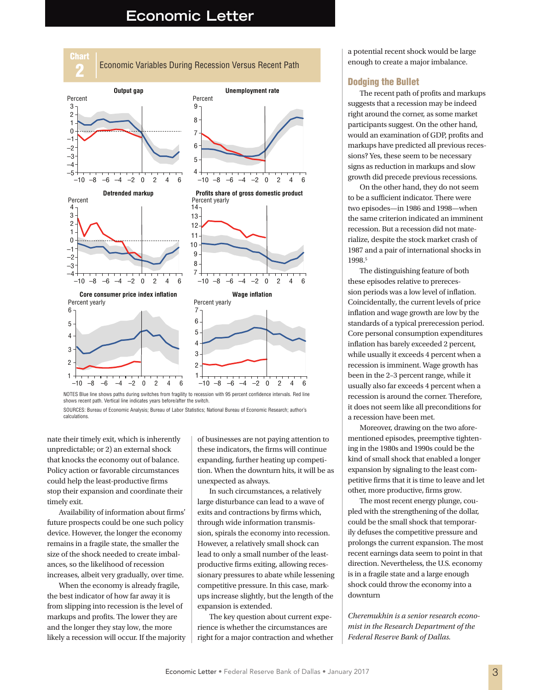### **Economic Letter**



NOTES Blue line shows paths during switches from fragility to recession with 95 percent confidence intervals. Red line shows recent path. Vertical line indicates years before/after the switch.

nate their timely exit, which is inherently unpredictable; or 2) an external shock that knocks the economy out of balance. Policy action or favorable circumstances could help the least-productive firms stop their expansion and coordinate their timely exit.

Availability of information about firms' future prospects could be one such policy device. However, the longer the economy remains in a fragile state, the smaller the size of the shock needed to create imbalances, so the likelihood of recession increases, albeit very gradually, over time.

When the economy is already fragile, the best indicator of how far away it is from slipping into recession is the level of markups and profits. The lower they are and the longer they stay low, the more likely a recession will occur. If the majority of businesses are not paying attention to these indicators, the firms will continue expanding, further heating up competition. When the downturn hits, it will be as unexpected as always.

In such circumstances, a relatively large disturbance can lead to a wave of exits and contractions by firms which, through wide information transmission, spirals the economy into recession. However, a relatively small shock can lead to only a small number of the leastproductive firms exiting, allowing recessionary pressures to abate while lessening competitive pressure. In this case, markups increase slightly, but the length of the expansion is extended.

The key question about current experience is whether the circumstances are right for a major contraction and whether a potential recent shock would be large enough to create a major imbalance.

#### Dodging the Bullet

The recent path of profits and markups suggests that a recession may be indeed right around the corner, as some market participants suggest. On the other hand, would an examination of GDP, profits and markups have predicted all previous recessions? Yes, these seem to be necessary signs as reduction in markups and slow growth did precede previous recessions.

On the other hand, they do not seem to be a sufficient indicator. There were two episodes—in 1986 and 1998—when the same criterion indicated an imminent recession. But a recession did not materialize, despite the stock market crash of 1987 and a pair of international shocks in 1998.5

The distinguishing feature of both these episodes relative to prerecession periods was a low level of inflation. Coincidentally, the current levels of price inflation and wage growth are low by the standards of a typical prerecession period. Core personal consumption expenditures inflation has barely exceeded 2 percent, while usually it exceeds 4 percent when a recession is imminent. Wage growth has been in the 2–3 percent range, while it usually also far exceeds 4 percent when a recession is around the corner. Therefore, it does not seem like all preconditions for a recession have been met.

Moreover, drawing on the two aforementioned episodes, preemptive tightening in the 1980s and 1990s could be the kind of small shock that enabled a longer expansion by signaling to the least competitive firms that it is time to leave and let other, more productive, firms grow.

The most recent energy plunge, coupled with the strengthening of the dollar, could be the small shock that temporarily defuses the competitive pressure and prolongs the current expansion. The most recent earnings data seem to point in that direction. Nevertheless, the U.S. economy is in a fragile state and a large enough shock could throw the economy into a downturn

*Cheremukhin is a senior research economist in the Research Department of the Federal Reserve Bank of Dallas.*

SOURCES: Bureau of Economic Analysis; Bureau of Labor Statistics; National Bureau of Economic Research; author's calculations.